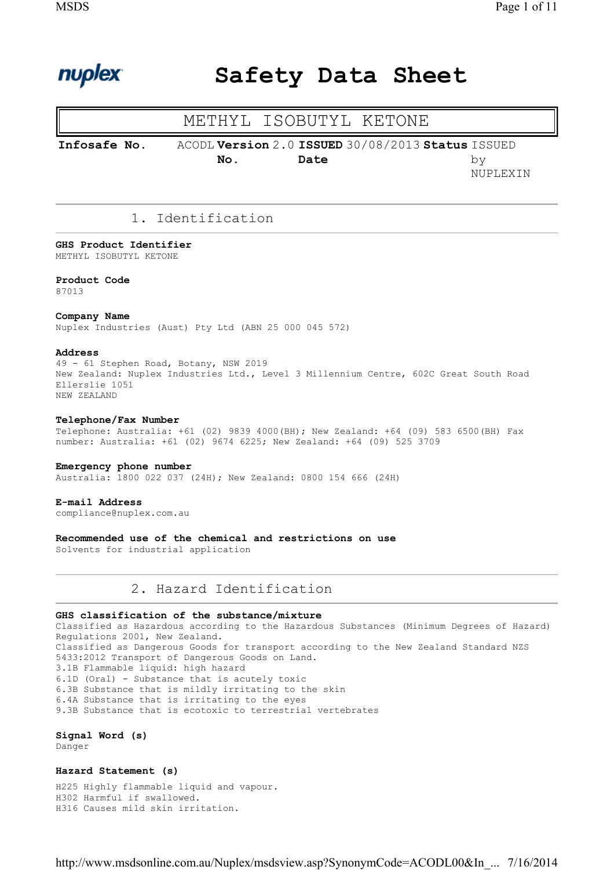

# Safety Data Sheet

# METHYL ISOBUTYL KETONE

```
Infosafe No. ACODL Version 
2.0 ISSUED 
30/08/2013 Status ISSUED 
                      No.
                                  Date
```
by NUPLEXIN

# 1. Identification

# GHS Product Identifier

METHYL ISOBUTYL KETONE

### Product Code 87013

### Company Name

Nuplex Industries (Aust) Pty Ltd (ABN 25 000 045 572)

### Address

49 - 61 Stephen Road, Botany, NSW 2019 New Zealand: Nuplex Industries Ltd., Level 3 Millennium Centre, 602C Great South Road Ellerslie 1051 NEW ZEALAND

### Telephone/Fax Number

Telephone: Australia: +61 (02) 9839 4000(BH); New Zealand: +64 (09) 583 6500(BH) Fax number: Australia: +61 (02) 9674 6225; New Zealand: +64 (09) 525 3709

### Emergency phone number

Australia: 1800 022 037 (24H); New Zealand: 0800 154 666 (24H)

### E-mail Address

compliance@nuplex.com.au

Recommended use of the chemical and restrictions on use Solvents for industrial application

# 2. Hazard Identification

### GHS classification of the substance/mixture

Classified as Hazardous according to the Hazardous Substances (Minimum Degrees of Hazard) Regulations 2001, New Zealand. Classified as Dangerous Goods for transport according to the New Zealand Standard NZS 5433:2012 Transport of Dangerous Goods on Land. 3.1B Flammable liquid: high hazard 6.1D (Oral) - Substance that is acutely toxic 6.3B Substance that is mildly irritating to the skin 6.4A Substance that is irritating to the eyes 9.3B Substance that is ecotoxic to terrestrial vertebrates

### Signal Word (s)

Danger

### Hazard Statement (s)

H225 Highly flammable liquid and vapour. H302 Harmful if swallowed. H316 Causes mild skin irritation.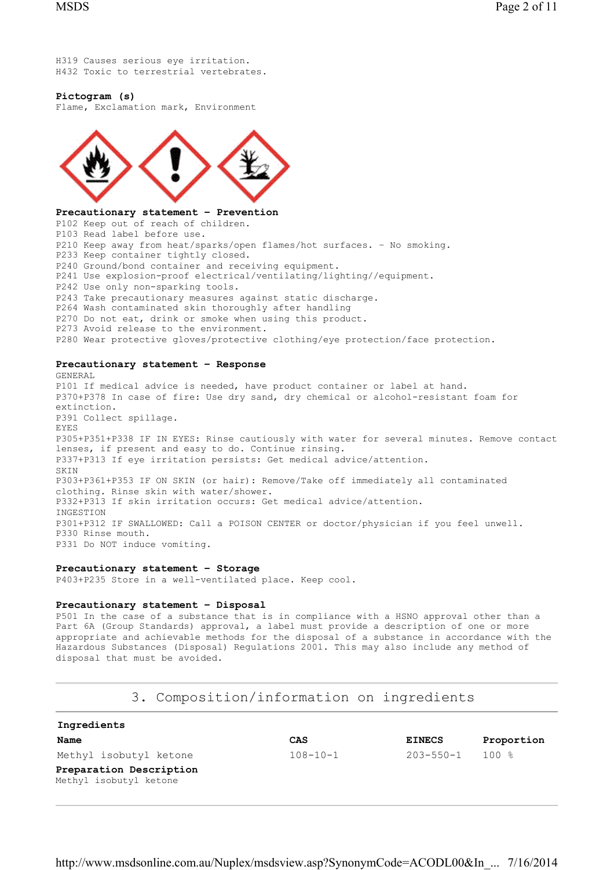H319 Causes serious eye irritation. H432 Toxic to terrestrial vertebrates.

### Pictogram (s)

Flame, Exclamation mark, Environment



### Precautionary statement – Prevention

P102 Keep out of reach of children. P103 Read label before use. P210 Keep away from heat/sparks/open flames/hot surfaces. – No smoking. P233 Keep container tightly closed. P240 Ground/bond container and receiving equipment. P241 Use explosion-proof electrical/ventilating/lighting//equipment. P242 Use only non-sparking tools. P243 Take precautionary measures against static discharge. P264 Wash contaminated skin thoroughly after handling P270 Do not eat, drink or smoke when using this product. P273 Avoid release to the environment. P280 Wear protective gloves/protective clothing/eye protection/face protection.

### Precautionary statement – Response

GENERAL P101 If medical advice is needed, have product container or label at hand. P370+P378 In case of fire: Use dry sand, dry chemical or alcohol-resistant foam for extinction. P391 Collect spillage. EYES P305+P351+P338 IF IN EYES: Rinse cautiously with water for several minutes. Remove contact lenses, if present and easy to do. Continue rinsing. P337+P313 If eye irritation persists: Get medical advice/attention. SKIN P303+P361+P353 IF ON SKIN (or hair): Remove/Take off immediately all contaminated clothing. Rinse skin with water/shower. P332+P313 If skin irritation occurs: Get medical advice/attention. INGESTION P301+P312 IF SWALLOWED: Call a POISON CENTER or doctor/physician if you feel unwell. P330 Rinse mouth. P331 Do NOT induce vomiting.

### Precautionary statement – Storage

P403+P235 Store in a well-ventilated place. Keep cool.

### Precautionary statement – Disposal

P501 In the case of a substance that is in compliance with a HSNO approval other than a Part 6A (Group Standards) approval, a label must provide a description of one or more appropriate and achievable methods for the disposal of a substance in accordance with the Hazardous Substances (Disposal) Regulations 2001. This may also include any method of disposal that must be avoided.

# 3. Composition/information on ingredients

| Ingredients                                       |                |                 |            |
|---------------------------------------------------|----------------|-----------------|------------|
| Name                                              | CAS            | <b>EINECS</b>   | Proportion |
| Methyl isobutyl ketone                            | $108 - 10 - 1$ | $203 - 550 - 1$ | 100 %      |
| Preparation Description<br>Methyl isobutyl ketone |                |                 |            |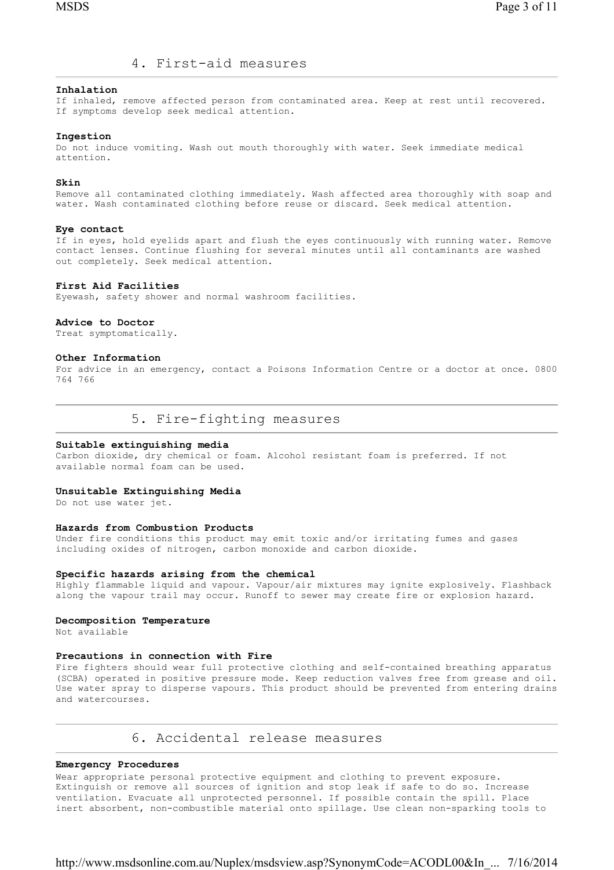# 4. First-aid measures

### Inhalation

If inhaled, remove affected person from contaminated area. Keep at rest until recovered. If symptoms develop seek medical attention.

### Ingestion

Do not induce vomiting. Wash out mouth thoroughly with water. Seek immediate medical attention.

### Skin

Remove all contaminated clothing immediately. Wash affected area thoroughly with soap and water. Wash contaminated clothing before reuse or discard. Seek medical attention.

### Eye contact

If in eyes, hold eyelids apart and flush the eyes continuously with running water. Remove contact lenses. Continue flushing for several minutes until all contaminants are washed out completely. Seek medical attention.

### First Aid Facilities

Eyewash, safety shower and normal washroom facilities.

### Advice to Doctor

Treat symptomatically.

### Other Information

For advice in an emergency, contact a Poisons Information Centre or a doctor at once. 0800 764 766

5. Fire-fighting measures

### Suitable extinguishing media

Carbon dioxide, dry chemical or foam. Alcohol resistant foam is preferred. If not available normal foam can be used.

### Unsuitable Extinguishing Media

Do not use water jet.

### Hazards from Combustion Products

Under fire conditions this product may emit toxic and/or irritating fumes and gases including oxides of nitrogen, carbon monoxide and carbon dioxide.

### Specific hazards arising from the chemical

Highly flammable liquid and vapour. Vapour/air mixtures may ignite explosively. Flashback along the vapour trail may occur. Runoff to sewer may create fire or explosion hazard.

### Decomposition Temperature

Not available

#### Precautions in connection with Fire

Fire fighters should wear full protective clothing and self-contained breathing apparatus (SCBA) operated in positive pressure mode. Keep reduction valves free from grease and oil. Use water spray to disperse vapours. This product should be prevented from entering drains and watercourses.

# 6. Accidental release measures

### Emergency Procedures

Wear appropriate personal protective equipment and clothing to prevent exposure. Extinguish or remove all sources of ignition and stop leak if safe to do so. Increase ventilation. Evacuate all unprotected personnel. If possible contain the spill. Place inert absorbent, non-combustible material onto spillage. Use clean non-sparking tools to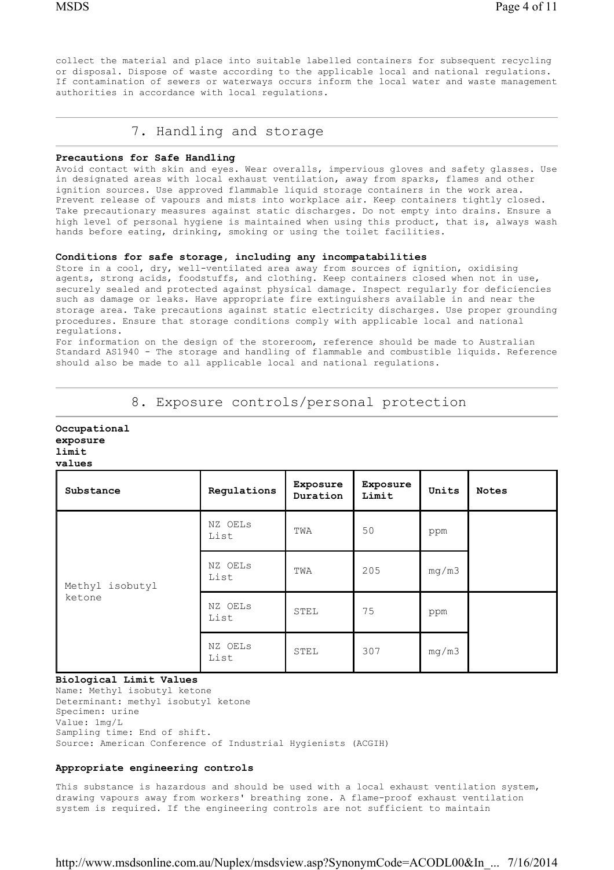collect the material and place into suitable labelled containers for subsequent recycling or disposal. Dispose of waste according to the applicable local and national regulations. If contamination of sewers or waterways occurs inform the local water and waste management authorities in accordance with local regulations.

# 7. Handling and storage

### Precautions for Safe Handling

Avoid contact with skin and eyes. Wear overalls, impervious gloves and safety glasses. Use in designated areas with local exhaust ventilation, away from sparks, flames and other ignition sources. Use approved flammable liquid storage containers in the work area. Prevent release of vapours and mists into workplace air. Keep containers tightly closed. Take precautionary measures against static discharges. Do not empty into drains. Ensure a high level of personal hygiene is maintained when using this product, that is, always wash hands before eating, drinking, smoking or using the toilet facilities.

### Conditions for safe storage, including any incompatabilities

Store in a cool, dry, well-ventilated area away from sources of ignition, oxidising agents, strong acids, foodstuffs, and clothing. Keep containers closed when not in use, securely sealed and protected against physical damage. Inspect regularly for deficiencies such as damage or leaks. Have appropriate fire extinguishers available in and near the storage area. Take precautions against static electricity discharges. Use proper grounding procedures. Ensure that storage conditions comply with applicable local and national regulations.

For information on the design of the storeroom, reference should be made to Australian Standard AS1940 - The storage and handling of flammable and combustible liquids. Reference should also be made to all applicable local and national regulations.

| values                    |                 |                      |                   |       |              |  |  |
|---------------------------|-----------------|----------------------|-------------------|-------|--------------|--|--|
| Substance                 | Regulations     | Exposure<br>Duration | Exposure<br>Limit | Units | <b>Notes</b> |  |  |
| Methyl isobutyl<br>ketone | NZ OELS<br>List | TWA                  | 50                | ppm   |              |  |  |
|                           | NZ OELS<br>List | TWA                  | 205               | mg/m3 |              |  |  |
|                           | NZ OELS<br>List | STEL                 | 75                | ppm   |              |  |  |
|                           | NZ OELS<br>List | STEL                 | 307               | mg/m3 |              |  |  |

8. Exposure controls/personal protection

### Biological Limit Values

Occupational exposure limit

Name: Methyl isobutyl ketone Determinant: methyl isobutyl ketone Specimen: urine Value: 1mg/L Sampling time: End of shift. Source: American Conference of Industrial Hygienists (ACGIH)

### Appropriate engineering controls

This substance is hazardous and should be used with a local exhaust ventilation system, drawing vapours away from workers' breathing zone. A flame-proof exhaust ventilation system is required. If the engineering controls are not sufficient to maintain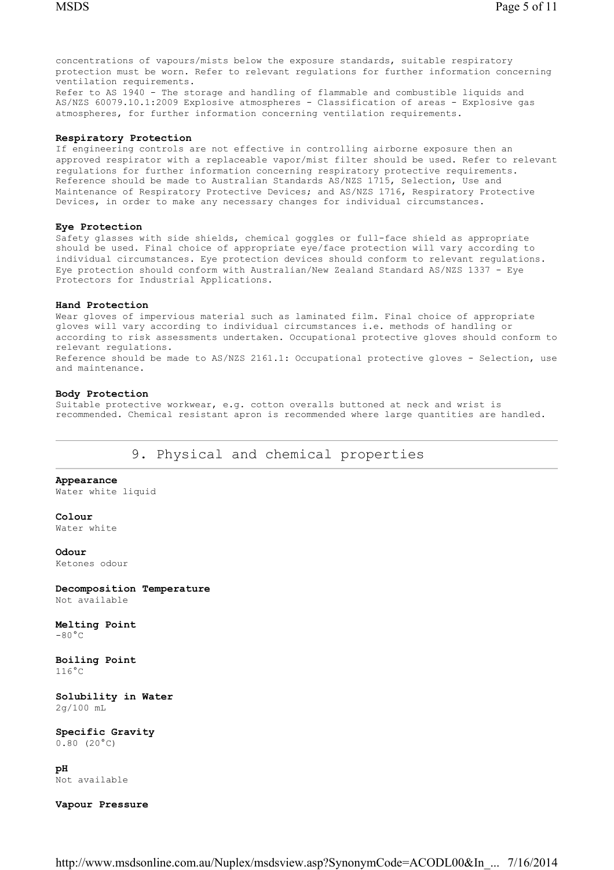concentrations of vapours/mists below the exposure standards, suitable respiratory protection must be worn. Refer to relevant regulations for further information concerning ventilation requirements.

Refer to AS 1940 - The storage and handling of flammable and combustible liquids and AS/NZS 60079.10.1:2009 Explosive atmospheres - Classification of areas - Explosive gas atmospheres, for further information concerning ventilation requirements.

### Respiratory Protection

If engineering controls are not effective in controlling airborne exposure then an approved respirator with a replaceable vapor/mist filter should be used. Refer to relevant regulations for further information concerning respiratory protective requirements. Reference should be made to Australian Standards AS/NZS 1715, Selection, Use and Maintenance of Respiratory Protective Devices; and AS/NZS 1716, Respiratory Protective Devices, in order to make any necessary changes for individual circumstances.

#### Eye Protection

Safety glasses with side shields, chemical goggles or full-face shield as appropriate should be used. Final choice of appropriate eye/face protection will vary according to individual circumstances. Eye protection devices should conform to relevant regulations. Eye protection should conform with Australian/New Zealand Standard AS/NZS 1337 - Eye Protectors for Industrial Applications.

#### Hand Protection

Wear gloves of impervious material such as laminated film. Final choice of appropriate gloves will vary according to individual circumstances i.e. methods of handling or according to risk assessments undertaken. Occupational protective gloves should conform to relevant regulations. Reference should be made to AS/NZS 2161.1: Occupational protective gloves - Selection, use and maintenance.

### Body Protection

Suitable protective workwear, e.g. cotton overalls buttoned at neck and wrist is recommended. Chemical resistant apron is recommended where large quantities are handled.

# 9. Physical and chemical properties

### Appearance

Water white liquid

### Colour

Water white

### Odour

Ketones odour

### Decomposition Temperature Not available

# Melting Point

 $-80^{\circ}$ C

### Boiling Point  $116^{\circ}$ C

Solubility in Water 2g/100 mL

Specific Gravity  $0.80$  (20 $^{\circ}$ C)

pH Not available

### Vapour Pressure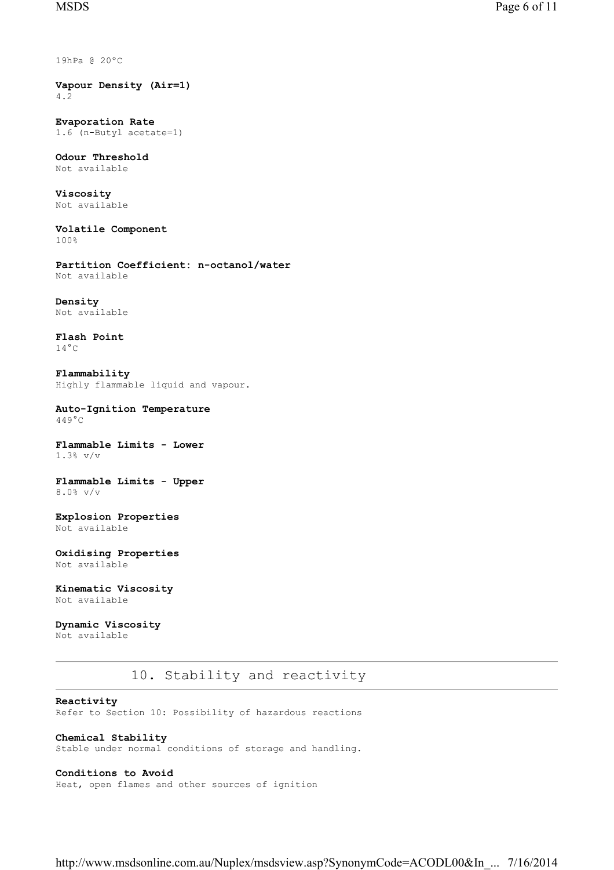19hPa @ 20ºC

Vapour Density (Air=1) 4.2

Evaporation Rate 1.6 (n-Butyl acetate=1)

Odour Threshold Not available

Viscosity Not available

Volatile Component 100%

Partition Coefficient: n-octanol/water Not available

Density Not available

Flash Point  $14^{\circ}$ C

Flammability Highly flammable liquid and vapour.

Auto-Ignition Temperature 449°C

Flammable Limits - Lower 1.3% v/v

Flammable Limits - Upper 8.0% v/v

Explosion Properties Not available

Oxidising Properties Not available

Kinematic Viscosity Not available

Dynamic Viscosity Not available

# 10. Stability and reactivity

## Reactivity

Refer to Section 10: Possibility of hazardous reactions

# Chemical Stability

Stable under normal conditions of storage and handling.

# Conditions to Avoid

Heat, open flames and other sources of ignition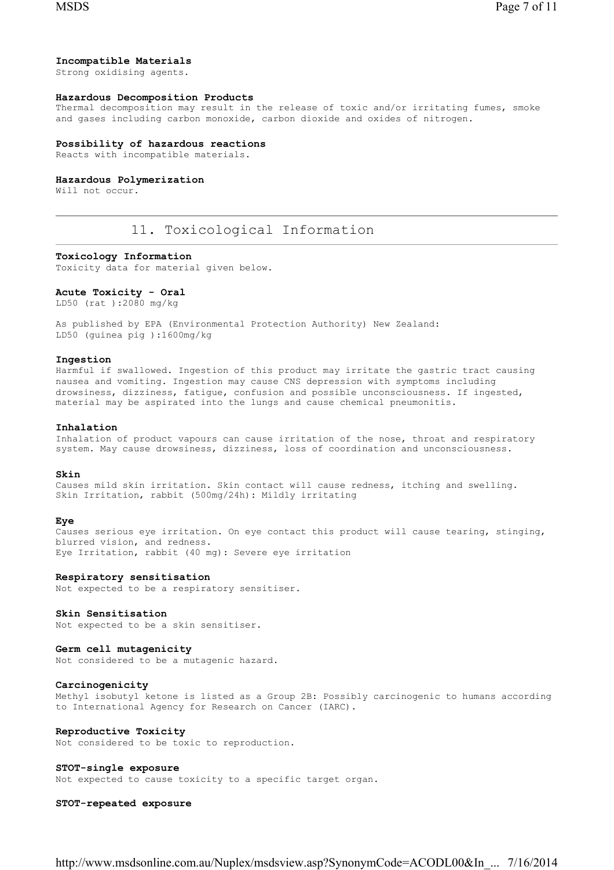## Incompatible Materials

Strong oxidising agents.

### Hazardous Decomposition Products

Thermal decomposition may result in the release of toxic and/or irritating fumes, smoke and gases including carbon monoxide, carbon dioxide and oxides of nitrogen.

### Possibility of hazardous reactions

Reacts with incompatible materials.

### Hazardous Polymerization

Will not occur.

# 11. Toxicological Information

## Toxicology Information

Toxicity data for material given below.

### Acute Toxicity - Oral

LD50 (rat ):2080 mg/kg

As published by EPA (Environmental Protection Authority) New Zealand: LD50 (guinea pig ):1600mg/kg

### Ingestion

Harmful if swallowed. Ingestion of this product may irritate the gastric tract causing nausea and vomiting. Ingestion may cause CNS depression with symptoms including drowsiness, dizziness, fatigue, confusion and possible unconsciousness. If ingested, material may be aspirated into the lungs and cause chemical pneumonitis.

### Inhalation

Inhalation of product vapours can cause irritation of the nose, throat and respiratory system. May cause drowsiness, dizziness, loss of coordination and unconsciousness.

### Skin

Causes mild skin irritation. Skin contact will cause redness, itching and swelling. Skin Irritation, rabbit (500mg/24h): Mildly irritating

### Eye

Causes serious eye irritation. On eye contact this product will cause tearing, stinging, blurred vision, and redness. Eye Irritation, rabbit (40 mg): Severe eye irritation

Respiratory sensitisation

Not expected to be a respiratory sensitiser.

### Skin Sensitisation

Not expected to be a skin sensitiser.

# Germ cell mutagenicity

Not considered to be a mutagenic hazard.

### Carcinogenicity

Methyl isobutyl ketone is listed as a Group 2B: Possibly carcinogenic to humans according to International Agency for Research on Cancer (IARC).

# Reproductive Toxicity

Not considered to be toxic to reproduction.

### STOT-single exposure

Not expected to cause toxicity to a specific target organ.

### STOT-repeated exposure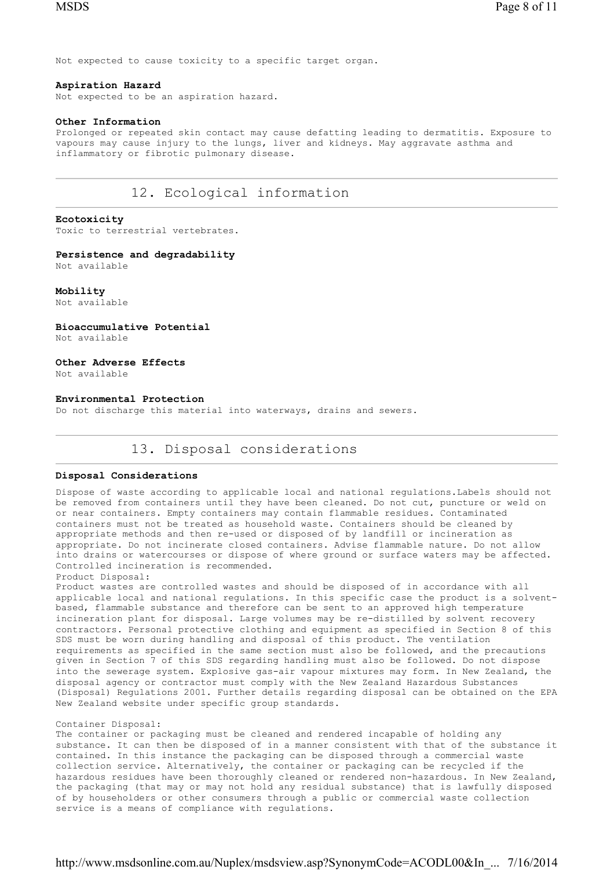Not expected to cause toxicity to a specific target organ.

### Aspiration Hazard

Not expected to be an aspiration hazard.

### Other Information

Prolonged or repeated skin contact may cause defatting leading to dermatitis. Exposure to vapours may cause injury to the lungs, liver and kidneys. May aggravate asthma and inflammatory or fibrotic pulmonary disease.

# 12. Ecological information

### Ecotoxicity

Toxic to terrestrial vertebrates.

# Persistence and degradability

Not available

### Mobility Not available

Bioaccumulative Potential Not available

### Other Adverse Effects

Not available

### Environmental Protection

Do not discharge this material into waterways, drains and sewers.

# 13. Disposal considerations

### Disposal Considerations

Dispose of waste according to applicable local and national regulations.Labels should not be removed from containers until they have been cleaned. Do not cut, puncture or weld on or near containers. Empty containers may contain flammable residues. Contaminated containers must not be treated as household waste. Containers should be cleaned by appropriate methods and then re-used or disposed of by landfill or incineration as appropriate. Do not incinerate closed containers. Advise flammable nature. Do not allow into drains or watercourses or dispose of where ground or surface waters may be affected. Controlled incineration is recommended.

Product Disposal:

Product wastes are controlled wastes and should be disposed of in accordance with all applicable local and national regulations. In this specific case the product is a solventbased, flammable substance and therefore can be sent to an approved high temperature incineration plant for disposal. Large volumes may be re-distilled by solvent recovery contractors. Personal protective clothing and equipment as specified in Section 8 of this SDS must be worn during handling and disposal of this product. The ventilation requirements as specified in the same section must also be followed, and the precautions given in Section 7 of this SDS regarding handling must also be followed. Do not dispose into the sewerage system. Explosive gas-air vapour mixtures may form. In New Zealand, the disposal agency or contractor must comply with the New Zealand Hazardous Substances (Disposal) Regulations 2001. Further details regarding disposal can be obtained on the EPA New Zealand website under specific group standards.

### Container Disposal:

The container or packaging must be cleaned and rendered incapable of holding any substance. It can then be disposed of in a manner consistent with that of the substance it contained. In this instance the packaging can be disposed through a commercial waste collection service. Alternatively, the container or packaging can be recycled if the hazardous residues have been thoroughly cleaned or rendered non-hazardous. In New Zealand, the packaging (that may or may not hold any residual substance) that is lawfully disposed of by householders or other consumers through a public or commercial waste collection service is a means of compliance with regulations.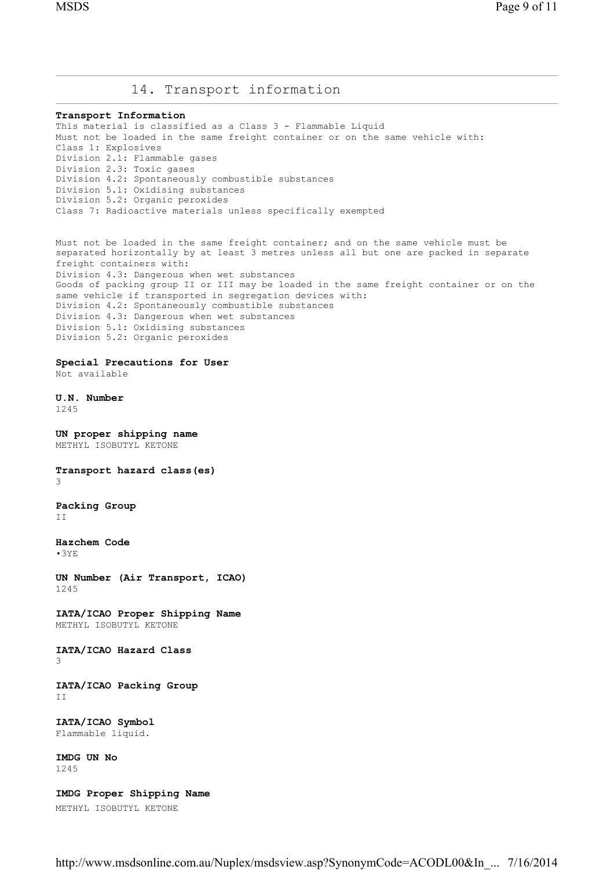# 14. Transport information

#### Transport Information

This material is classified as a Class 3 - Flammable Liquid Must not be loaded in the same freight container or on the same vehicle with: Class 1: Explosives Division 2.1: Flammable gases Division 2.3: Toxic gases Division 4.2: Spontaneously combustible substances Division 5.1: Oxidising substances Division 5.2: Organic peroxides Class 7: Radioactive materials unless specifically exempted

Must not be loaded in the same freight container; and on the same vehicle must be separated horizontally by at least 3 metres unless all but one are packed in separate freight containers with: Division 4.3: Dangerous when wet substances Goods of packing group II or III may be loaded in the same freight container or on the same vehicle if transported in segregation devices with: Division 4.2: Spontaneously combustible substances Division 4.3: Dangerous when wet substances Division 5.1: Oxidising substances Division 5.2: Organic peroxides

# Special Precautions for User

Not available

U.N. Number 1245

UN proper shipping name METHYL ISOBUTYL KETONE

Transport hazard class(es) 3

Packing Group II

Hazchem Code •3YE

UN Number (Air Transport, ICAO) 1245

IATA/ICAO Proper Shipping Name METHYL ISOBUTYL KETONE

### IATA/ICAO Hazard Class 3

IATA/ICAO Packing Group T<sub>T</sub>

IATA/ICAO Symbol Flammable liquid.

IMDG UN No 1245

IMDG Proper Shipping Name METHYL ISOBUTYL KETONE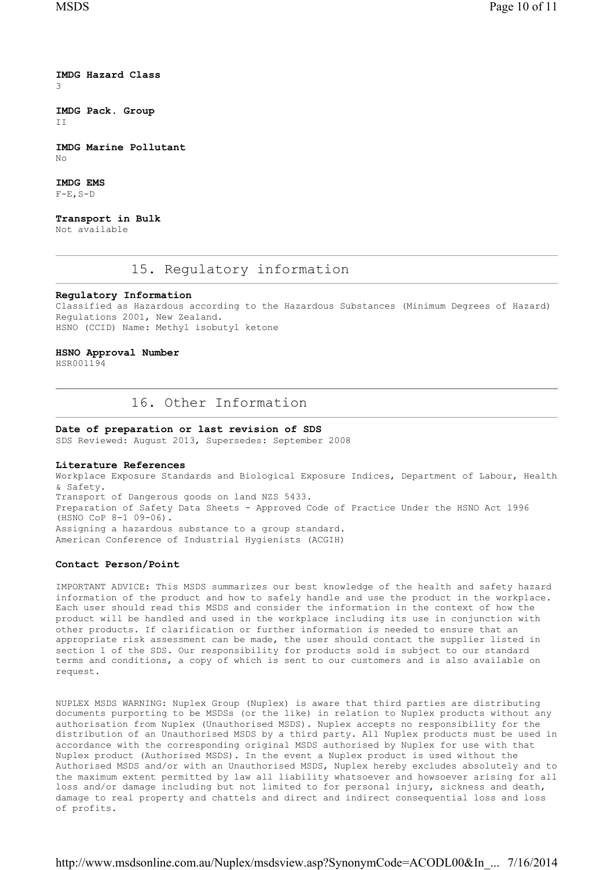IMDG Hazard Class 3

IMDG Pack. Group T<sub>T</sub>

IMDG Marine Pollutant  $N<sub>O</sub>$ 

IMDG EMS  $F-E$ ,  $S-D$ 

Transport in Bulk Not available

## 15. Regulatory information

### Regulatory Information

Classified as Hazardous according to the Hazardous Substances (Minimum Degrees of Hazard) Regulations 2001, New Zealand. HSNO (CCID) Name: Methyl isobutyl ketone

### HSNO Approval Number

HSR001194

# 16. Other Information

# Date of preparation or last revision of SDS

SDS Reviewed: August 2013, Supersedes: September 2008

### Literature References

Workplace Exposure Standards and Biological Exposure Indices, Department of Labour, Health & Safety. Transport of Dangerous goods on land NZS 5433. Preparation of Safety Data Sheets - Approved Code of Practice Under the HSNO Act 1996 (HSNO CoP 8-1 09-06). Assigning a hazardous substance to a group standard. American Conference of Industrial Hygienists (ACGIH)

### Contact Person/Point

IMPORTANT ADVICE: This MSDS summarizes our best knowledge of the health and safety hazard information of the product and how to safely handle and use the product in the workplace. Each user should read this MSDS and consider the information in the context of how the product will be handled and used in the workplace including its use in conjunction with other products. If clarification or further information is needed to ensure that an appropriate risk assessment can be made, the user should contact the supplier listed in section 1 of the SDS. Our responsibility for products sold is subject to our standard terms and conditions, a copy of which is sent to our customers and is also available on request.

NUPLEX MSDS WARNING: Nuplex Group (Nuplex) is aware that third parties are distributing documents purporting to be MSDSs (or the like) in relation to Nuplex products without any authorisation from Nuplex (Unauthorised MSDS). Nuplex accepts no responsibility for the distribution of an Unauthorised MSDS by a third party. All Nuplex products must be used in accordance with the corresponding original MSDS authorised by Nuplex for use with that Nuplex product (Authorised MSDS). In the event a Nuplex product is used without the Authorised MSDS and/or with an Unauthorised MSDS, Nuplex hereby excludes absolutely and to the maximum extent permitted by law all liability whatsoever and howsoever arising for all loss and/or damage including but not limited to for personal injury, sickness and death, damage to real property and chattels and direct and indirect consequential loss and loss of profits.